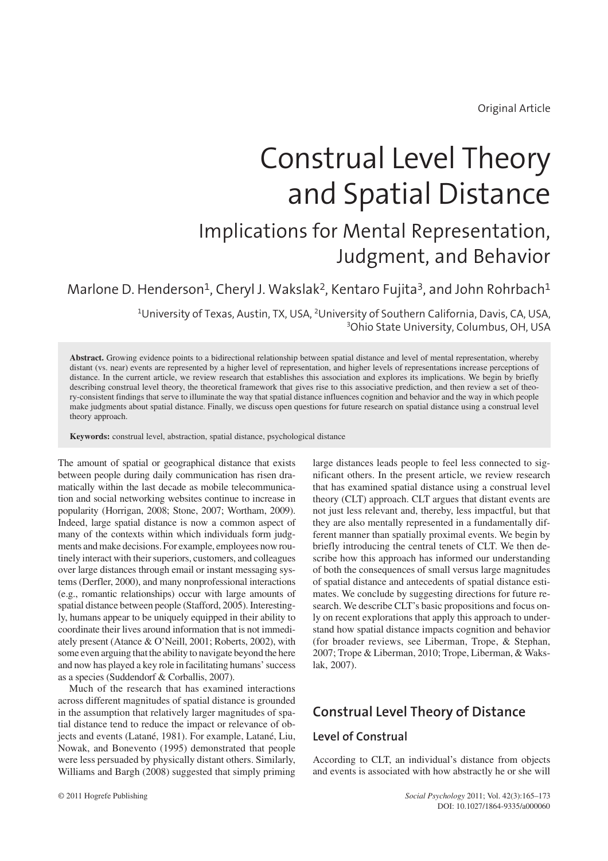Original Article

# Construal Level Theory and Spatial Distance

## Implications for Mental Representation, Judgment, and Behavior

Marlone D. Henderson<sup>1</sup>, Cheryl J. Wakslak<sup>2</sup>, Kentaro Fujita<sup>3</sup>, and John Rohrbach<sup>1</sup>

<sup>1</sup>University of Texas, Austin, TX, USA, <sup>2</sup>University of Southern California, Davis, CA, USA, 3 Ohio State University, Columbus, OH, USA

**Abstract.** Growing evidence points to a bidirectional relationship between spatial distance and level of mental representation, whereby distant (vs. near) events are represented by a higher level of representation, and higher levels of representations increase perceptions of distance. In the current article, we review research that establishes this association and explores its implications. We begin by briefly describing construal level theory, the theoretical framework that gives rise to this associative prediction, and then review a set of theory-consistent findings that serve to illuminate the way that spatial distance influences cognition and behavior and the way in which people make judgments about spatial distance. Finally, we discuss open questions for future research on spatial distance using a construal level theory approach.

**Keywords:** construal level, abstraction, spatial distance, psychological distance

The amount of spatial or geographical distance that exists between people during daily communication has risen dramatically within the last decade as mobile telecommunication and social networking websites continue to increase in popularity (Horrigan, 2008; Stone, 2007; Wortham, 2009). Indeed, large spatial distance is now a common aspect of many of the contexts within which individuals form judgments and make decisions. For example, employees now routinely interact with their superiors, customers, and colleagues over large distances through email or instant messaging systems (Derfler, 2000), and many nonprofessional interactions (e.g., romantic relationships) occur with large amounts of spatial distance between people (Stafford, 2005). Interestingly, humans appear to be uniquely equipped in their ability to coordinate their lives around information that is not immediately present (Atance & O'Neill, 2001; Roberts, 2002), with some even arguing that the ability to navigate beyond the here and now has played a key role in facilitating humans' success as a species (Suddendorf & Corballis, 2007).

Much of the research that has examined interactions across different magnitudes of spatial distance is grounded in the assumption that relatively larger magnitudes of spatial distance tend to reduce the impact or relevance of objects and events (Latané, 1981). For example, Latané, Liu, Nowak, and Bonevento (1995) demonstrated that people were less persuaded by physically distant others. Similarly, Williams and Bargh (2008) suggested that simply priming large distances leads people to feel less connected to significant others. In the present article, we review research that has examined spatial distance using a construal level theory (CLT) approach. CLT argues that distant events are not just less relevant and, thereby, less impactful, but that they are also mentally represented in a fundamentally different manner than spatially proximal events. We begin by briefly introducing the central tenets of CLT. We then describe how this approach has informed our understanding of both the consequences of small versus large magnitudes of spatial distance and antecedents of spatial distance estimates. We conclude by suggesting directions for future research. We describe CLT's basic propositions and focus only on recent explorations that apply this approach to understand how spatial distance impacts cognition and behavior (for broader reviews, see Liberman, Trope, & Stephan, 2007; Trope & Liberman, 2010; Trope, Liberman, & Wakslak, 2007).

## **Construal Level Theory of Distance**

#### **Level of Construal**

According to CLT, an individual's distance from objects and events is associated with how abstractly he or she will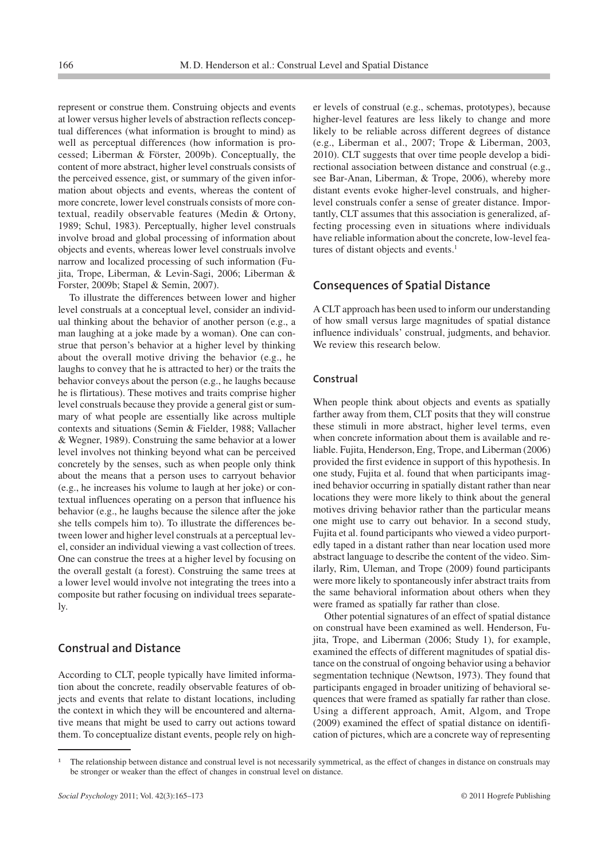represent or construe them. Construing objects and events at lower versus higher levels of abstraction reflects conceptual differences (what information is brought to mind) as well as perceptual differences (how information is processed; Liberman & Förster, 2009b). Conceptually, the content of more abstract, higher level construals consists of the perceived essence, gist, or summary of the given information about objects and events, whereas the content of more concrete, lower level construals consists of more contextual, readily observable features (Medin & Ortony, 1989; Schul, 1983). Perceptually, higher level construals involve broad and global processing of information about objects and events, whereas lower level construals involve narrow and localized processing of such information (Fujita, Trope, Liberman, & Levin-Sagi, 2006; Liberman & Forster, 2009b; Stapel & Semin, 2007).

To illustrate the differences between lower and higher level construals at a conceptual level, consider an individual thinking about the behavior of another person (e.g., a man laughing at a joke made by a woman). One can construe that person's behavior at a higher level by thinking about the overall motive driving the behavior (e.g., he laughs to convey that he is attracted to her) or the traits the behavior conveys about the person (e.g., he laughs because he is flirtatious). These motives and traits comprise higher level construals because they provide a general gist or summary of what people are essentially like across multiple contexts and situations (Semin & Fielder, 1988; Vallacher & Wegner, 1989). Construing the same behavior at a lower level involves not thinking beyond what can be perceived concretely by the senses, such as when people only think about the means that a person uses to carryout behavior (e.g., he increases his volume to laugh at her joke) or contextual influences operating on a person that influence his behavior (e.g., he laughs because the silence after the joke she tells compels him to). To illustrate the differences between lower and higher level construals at a perceptual level, consider an individual viewing a vast collection of trees. One can construe the trees at a higher level by focusing on the overall gestalt (a forest). Construing the same trees at a lower level would involve not integrating the trees into a composite but rather focusing on individual trees separately.

#### **Construal and Distance**

According to CLT, people typically have limited information about the concrete, readily observable features of objects and events that relate to distant locations, including the context in which they will be encountered and alternative means that might be used to carry out actions toward them. To conceptualize distant events, people rely on higher levels of construal (e.g., schemas, prototypes), because higher-level features are less likely to change and more likely to be reliable across different degrees of distance (e.g., Liberman et al., 2007; Trope & Liberman, 2003, 2010). CLT suggests that over time people develop a bidirectional association between distance and construal (e.g., see Bar-Anan, Liberman, & Trope, 2006), whereby more distant events evoke higher-level construals, and higherlevel construals confer a sense of greater distance. Importantly, CLT assumes that this association is generalized, affecting processing even in situations where individuals have reliable information about the concrete, low-level features of distant objects and events.<sup>1</sup>

#### **Consequences of Spatial Distance**

A CLT approach has been used to inform our understanding of how small versus large magnitudes of spatial distance influence individuals' construal, judgments, and behavior. We review this research below.

#### **Construal**

When people think about objects and events as spatially farther away from them, CLT posits that they will construe these stimuli in more abstract, higher level terms, even when concrete information about them is available and reliable. Fujita, Henderson, Eng, Trope, and Liberman (2006) provided the first evidence in support of this hypothesis. In one study, Fujita et al. found that when participants imagined behavior occurring in spatially distant rather than near locations they were more likely to think about the general motives driving behavior rather than the particular means one might use to carry out behavior. In a second study, Fujita et al. found participants who viewed a video purportedly taped in a distant rather than near location used more abstract language to describe the content of the video. Similarly, Rim, Uleman, and Trope (2009) found participants were more likely to spontaneously infer abstract traits from the same behavioral information about others when they were framed as spatially far rather than close.

Other potential signatures of an effect of spatial distance on construal have been examined as well. Henderson, Fujita, Trope, and Liberman (2006; Study 1), for example, examined the effects of different magnitudes of spatial distance on the construal of ongoing behavior using a behavior segmentation technique (Newtson, 1973). They found that participants engaged in broader unitizing of behavioral sequences that were framed as spatially far rather than close. Using a different approach, Amit, Algom, and Trope (2009) examined the effect of spatial distance on identification of pictures, which are a concrete way of representing

<sup>-</sup> The relationship between distance and construal level is not necessarily symmetrical, as the effect of changes in distance on construals may be stronger or weaker than the effect of changes in construal level on distance.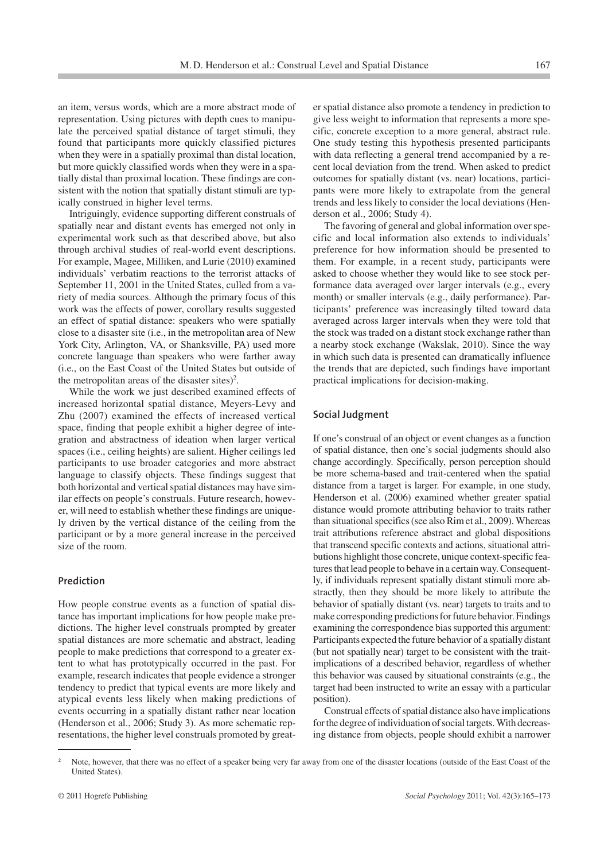an item, versus words, which are a more abstract mode of representation. Using pictures with depth cues to manipulate the perceived spatial distance of target stimuli, they found that participants more quickly classified pictures when they were in a spatially proximal than distal location, but more quickly classified words when they were in a spatially distal than proximal location. These findings are consistent with the notion that spatially distant stimuli are typically construed in higher level terms.

Intriguingly, evidence supporting different construals of spatially near and distant events has emerged not only in experimental work such as that described above, but also through archival studies of real-world event descriptions. For example, Magee, Milliken, and Lurie (2010) examined individuals' verbatim reactions to the terrorist attacks of September 11, 2001 in the United States, culled from a variety of media sources. Although the primary focus of this work was the effects of power, corollary results suggested an effect of spatial distance: speakers who were spatially close to a disaster site (i.e., in the metropolitan area of New York City, Arlington, VA, or Shanksville, PA) used more concrete language than speakers who were farther away (i.e., on the East Coast of the United States but outside of the metropolitan areas of the disaster sites)<sup>2</sup>.

While the work we just described examined effects of increased horizontal spatial distance, Meyers-Levy and Zhu (2007) examined the effects of increased vertical space, finding that people exhibit a higher degree of integration and abstractness of ideation when larger vertical spaces (i.e., ceiling heights) are salient. Higher ceilings led participants to use broader categories and more abstract language to classify objects. These findings suggest that both horizontal and vertical spatial distances may have similar effects on people's construals. Future research, however, will need to establish whether these findings are uniquely driven by the vertical distance of the ceiling from the participant or by a more general increase in the perceived size of the room.

#### **Prediction**

How people construe events as a function of spatial distance has important implications for how people make predictions. The higher level construals prompted by greater spatial distances are more schematic and abstract, leading people to make predictions that correspond to a greater extent to what has prototypically occurred in the past. For example, research indicates that people evidence a stronger tendency to predict that typical events are more likely and atypical events less likely when making predictions of events occurring in a spatially distant rather near location (Henderson et al., 2006; Study 3). As more schematic representations, the higher level construals promoted by greater spatial distance also promote a tendency in prediction to give less weight to information that represents a more specific, concrete exception to a more general, abstract rule. One study testing this hypothesis presented participants with data reflecting a general trend accompanied by a recent local deviation from the trend. When asked to predict outcomes for spatially distant (vs. near) locations, participants were more likely to extrapolate from the general trends and less likely to consider the local deviations (Henderson et al., 2006; Study 4).

The favoring of general and global information over specific and local information also extends to individuals' preference for how information should be presented to them. For example, in a recent study, participants were asked to choose whether they would like to see stock performance data averaged over larger intervals (e.g., every month) or smaller intervals (e.g., daily performance). Participants' preference was increasingly tilted toward data averaged across larger intervals when they were told that the stock was traded on a distant stock exchange rather than a nearby stock exchange (Wakslak, 2010). Since the way in which such data is presented can dramatically influence the trends that are depicted, such findings have important practical implications for decision-making.

#### **Social Judgment**

If one's construal of an object or event changes as a function of spatial distance, then one's social judgments should also change accordingly. Specifically, person perception should be more schema-based and trait-centered when the spatial distance from a target is larger. For example, in one study, Henderson et al. (2006) examined whether greater spatial distance would promote attributing behavior to traits rather than situational specifics (see also Rim et al., 2009). Whereas trait attributions reference abstract and global dispositions that transcend specific contexts and actions, situational attributions highlight those concrete, unique context-specific features that lead people to behave in a certain way. Consequently, if individuals represent spatially distant stimuli more abstractly, then they should be more likely to attribute the behavior of spatially distant (vs. near) targets to traits and to make corresponding predictions for future behavior. Findings examining the correspondence bias supported this argument: Participants expected the future behavior of a spatially distant (but not spatially near) target to be consistent with the traitimplications of a described behavior, regardless of whether this behavior was caused by situational constraints (e.g., the target had been instructed to write an essay with a particular position).

Construal effects of spatial distance also have implications for the degree of individuation of social targets. With decreasing distance from objects, people should exhibit a narrower

Note, however, that there was no effect of a speaker being very far away from one of the disaster locations (outside of the East Coast of the United States).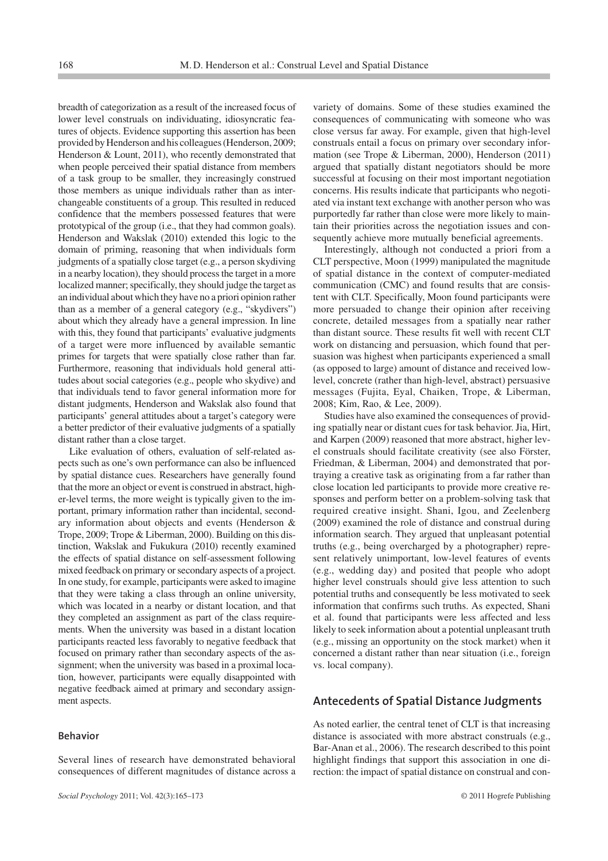breadth of categorization as a result of the increased focus of lower level construals on individuating, idiosyncratic features of objects. Evidence supporting this assertion has been provided by Henderson and hiscolleagues (Henderson, 2009; Henderson & Lount, 2011), who recently demonstrated that when people perceived their spatial distance from members of a task group to be smaller, they increasingly construed those members as unique individuals rather than as interchangeable constituents of a group. This resulted in reduced confidence that the members possessed features that were prototypical of the group (i.e., that they had common goals). Henderson and Wakslak (2010) extended this logic to the domain of priming, reasoning that when individuals form judgments of a spatially close target (e.g., a person skydiving in a nearby location), they should process the target in a more localized manner; specifically, they should judge the target as an individual about which they have no a priori opinion rather than as a member of a general category (e.g., "skydivers") about which they already have a general impression. In line with this, they found that participants' evaluative judgments of a target were more influenced by available semantic primes for targets that were spatially close rather than far. Furthermore, reasoning that individuals hold general attitudes about social categories (e.g., people who skydive) and that individuals tend to favor general information more for distant judgments, Henderson and Wakslak also found that participants' general attitudes about a target's category were a better predictor of their evaluative judgments of a spatially distant rather than a close target.

Like evaluation of others, evaluation of self-related aspects such as one's own performance can also be influenced by spatial distance cues. Researchers have generally found that the more an object or event is construed in abstract, higher-level terms, the more weight is typically given to the important, primary information rather than incidental, secondary information about objects and events (Henderson & Trope, 2009; Trope & Liberman, 2000). Building on this distinction, Wakslak and Fukukura (2010) recently examined the effects of spatial distance on self-assessment following mixed feedback on primary or secondary aspects of a project. In one study, for example, participants were asked to imagine that they were taking a class through an online university, which was located in a nearby or distant location, and that they completed an assignment as part of the class requirements. When the university was based in a distant location participants reacted less favorably to negative feedback that focused on primary rather than secondary aspects of the assignment; when the university was based in a proximal location, however, participants were equally disappointed with negative feedback aimed at primary and secondary assignment aspects.

Several lines of research have demonstrated behavioral consequences of different magnitudes of distance across a

#### **Behavior**

variety of domains. Some of these studies examined the consequences of communicating with someone who was close versus far away. For example, given that high-level construals entail a focus on primary over secondary information (see Trope & Liberman, 2000), Henderson (2011) argued that spatially distant negotiators should be more successful at focusing on their most important negotiation concerns. His results indicate that participants who negotiated via instant text exchange with another person who was purportedly far rather than close were more likely to maintain their priorities across the negotiation issues and consequently achieve more mutually beneficial agreements.

Interestingly, although not conducted a priori from a CLT perspective, Moon (1999) manipulated the magnitude of spatial distance in the context of computer-mediated communication (CMC) and found results that are consistent with CLT. Specifically, Moon found participants were more persuaded to change their opinion after receiving concrete, detailed messages from a spatially near rather than distant source. These results fit well with recent CLT work on distancing and persuasion, which found that persuasion was highest when participants experienced a small (as opposed to large) amount of distance and received lowlevel, concrete (rather than high-level, abstract) persuasive messages (Fujita, Eyal, Chaiken, Trope, & Liberman, 2008; Kim, Rao, & Lee, 2009).

Studies have also examined the consequences of providing spatially near or distant cues for task behavior. Jia, Hirt, and Karpen (2009) reasoned that more abstract, higher level construals should facilitate creativity (see also Förster, Friedman, & Liberman, 2004) and demonstrated that portraying a creative task as originating from a far rather than close location led participants to provide more creative responses and perform better on a problem-solving task that required creative insight. Shani, Igou, and Zeelenberg (2009) examined the role of distance and construal during information search. They argued that unpleasant potential truths (e.g., being overcharged by a photographer) represent relatively unimportant, low-level features of events (e.g., wedding day) and posited that people who adopt higher level construals should give less attention to such potential truths and consequently be less motivated to seek information that confirms such truths. As expected, Shani et al. found that participants were less affected and less likely to seek information about a potential unpleasant truth (e.g., missing an opportunity on the stock market) when it concerned a distant rather than near situation (i.e., foreign vs. local company).

#### **Antecedents of Spatial Distance Judgments**

As noted earlier, the central tenet of CLT is that increasing distance is associated with more abstract construals (e.g., Bar-Anan et al., 2006). The research described to this point highlight findings that support this association in one direction: the impact of spatial distance on construal and con-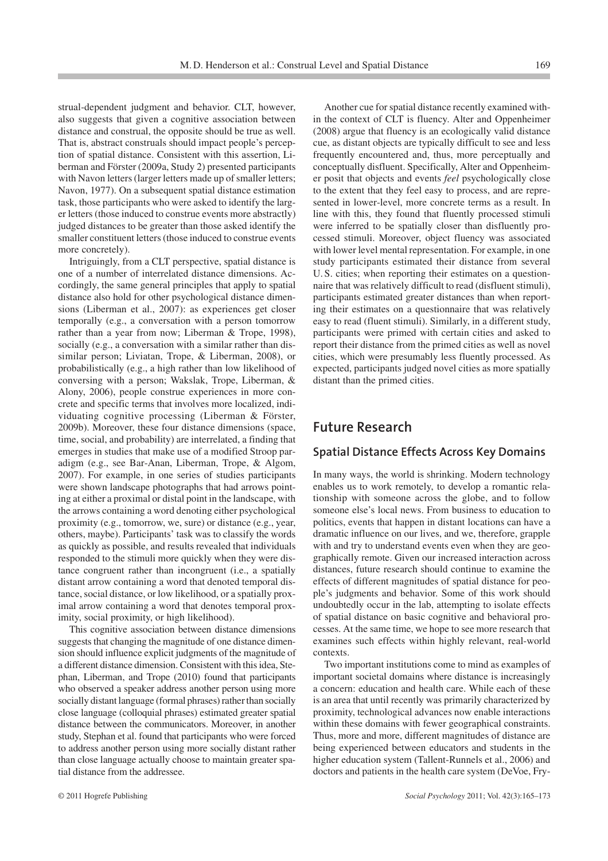strual-dependent judgment and behavior. CLT, however, also suggests that given a cognitive association between distance and construal, the opposite should be true as well. That is, abstract construals should impact people's perception of spatial distance. Consistent with this assertion, Liberman and Förster (2009a, Study 2) presented participants with Navon letters (larger letters made up of smaller letters; Navon, 1977). On a subsequent spatial distance estimation task, those participants who were asked to identify the larger letters (those induced to construe events more abstractly) judged distances to be greater than those asked identify the smaller constituent letters (those induced to construe events more concretely).

Intriguingly, from a CLT perspective, spatial distance is one of a number of interrelated distance dimensions. Accordingly, the same general principles that apply to spatial distance also hold for other psychological distance dimensions (Liberman et al., 2007): as experiences get closer temporally (e.g., a conversation with a person tomorrow rather than a year from now; Liberman & Trope, 1998), socially (e.g., a conversation with a similar rather than dissimilar person; Liviatan, Trope, & Liberman, 2008), or probabilistically (e.g., a high rather than low likelihood of conversing with a person; Wakslak, Trope, Liberman, & Alony, 2006), people construe experiences in more concrete and specific terms that involves more localized, individuating cognitive processing (Liberman & Förster, 2009b). Moreover, these four distance dimensions (space, time, social, and probability) are interrelated, a finding that emerges in studies that make use of a modified Stroop paradigm (e.g., see Bar-Anan, Liberman, Trope, & Algom, 2007). For example, in one series of studies participants were shown landscape photographs that had arrows pointing at either a proximal or distal point in the landscape, with the arrows containing a word denoting either psychological proximity (e.g., tomorrow, we, sure) or distance (e.g., year, others, maybe). Participants' task was to classify the words as quickly as possible, and results revealed that individuals responded to the stimuli more quickly when they were distance congruent rather than incongruent (i.e., a spatially distant arrow containing a word that denoted temporal distance, social distance, or low likelihood, or a spatially proximal arrow containing a word that denotes temporal proximity, social proximity, or high likelihood).

This cognitive association between distance dimensions suggests that changing the magnitude of one distance dimension should influence explicit judgments of the magnitude of a different distance dimension. Consistent with this idea, Stephan, Liberman, and Trope (2010) found that participants who observed a speaker address another person using more socially distant language (formal phrases) rather than socially close language (colloquial phrases) estimated greater spatial distance between the communicators. Moreover, in another study, Stephan et al. found that participants who were forced to address another person using more socially distant rather than close language actually choose to maintain greater spatial distance from the addressee.

Another cue for spatial distance recently examined within the context of CLT is fluency. Alter and Oppenheimer (2008) argue that fluency is an ecologically valid distance cue, as distant objects are typically difficult to see and less frequently encountered and, thus, more perceptually and conceptually disfluent. Specifically, Alter and Oppenheimer posit that objects and events *feel* psychologically close to the extent that they feel easy to process, and are represented in lower-level, more concrete terms as a result. In line with this, they found that fluently processed stimuli were inferred to be spatially closer than disfluently processed stimuli. Moreover, object fluency was associated with lower level mental representation. For example, in one study participants estimated their distance from several U. S. cities; when reporting their estimates on a questionnaire that was relatively difficult to read (disfluent stimuli), participants estimated greater distances than when reporting their estimates on a questionnaire that was relatively easy to read (fluent stimuli). Similarly, in a different study, participants were primed with certain cities and asked to report their distance from the primed cities as well as novel cities, which were presumably less fluently processed. As expected, participants judged novel cities as more spatially distant than the primed cities.

#### **Future Research**

#### **Spatial Distance Effects Across Key Domains**

In many ways, the world is shrinking. Modern technology enables us to work remotely, to develop a romantic relationship with someone across the globe, and to follow someone else's local news. From business to education to politics, events that happen in distant locations can have a dramatic influence on our lives, and we, therefore, grapple with and try to understand events even when they are geographically remote. Given our increased interaction across distances, future research should continue to examine the effects of different magnitudes of spatial distance for people's judgments and behavior. Some of this work should undoubtedly occur in the lab, attempting to isolate effects of spatial distance on basic cognitive and behavioral processes. At the same time, we hope to see more research that examines such effects within highly relevant, real-world contexts.

Two important institutions come to mind as examples of important societal domains where distance is increasingly a concern: education and health care. While each of these is an area that until recently was primarily characterized by proximity, technological advances now enable interactions within these domains with fewer geographical constraints. Thus, more and more, different magnitudes of distance are being experienced between educators and students in the higher education system (Tallent-Runnels et al., 2006) and doctors and patients in the health care system (DeVoe, Fry-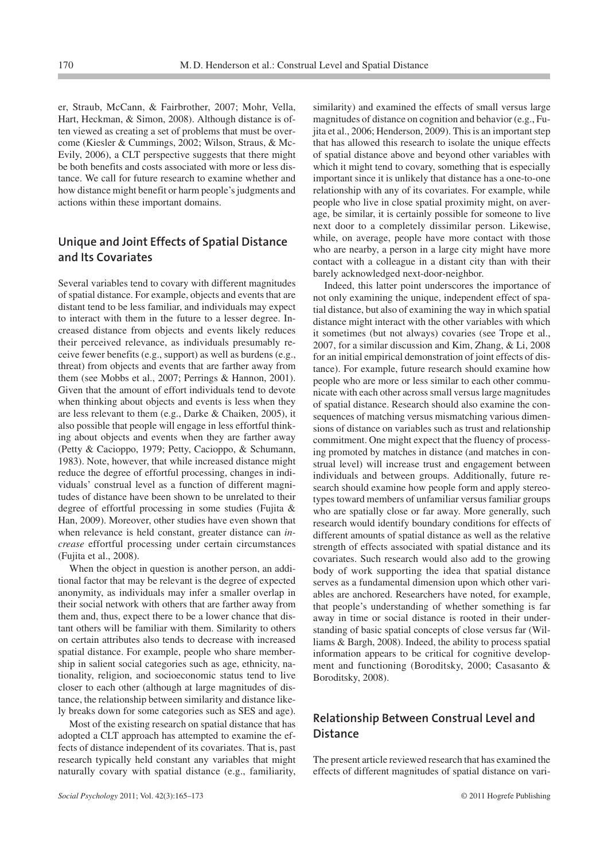er, Straub, McCann, & Fairbrother, 2007; Mohr, Vella, Hart, Heckman, & Simon, 2008). Although distance is often viewed as creating a set of problems that must be overcome (Kiesler & Cummings, 2002; Wilson, Straus, & Mc-Evily, 2006), a CLT perspective suggests that there might be both benefits and costs associated with more or less distance. We call for future research to examine whether and how distance might benefit or harm people's judgments and actions within these important domains.

#### **Unique and Joint Effects of Spatial Distance and Its Covariates**

Several variables tend to covary with different magnitudes of spatial distance. For example, objects and events that are distant tend to be less familiar, and individuals may expect to interact with them in the future to a lesser degree. Increased distance from objects and events likely reduces their perceived relevance, as individuals presumably receive fewer benefits (e.g., support) as well as burdens (e.g., threat) from objects and events that are farther away from them (see Mobbs et al., 2007; Perrings & Hannon, 2001). Given that the amount of effort individuals tend to devote when thinking about objects and events is less when they are less relevant to them (e.g., Darke & Chaiken, 2005), it also possible that people will engage in less effortful thinking about objects and events when they are farther away (Petty & Cacioppo, 1979; Petty, Cacioppo, & Schumann, 1983). Note, however, that while increased distance might reduce the degree of effortful processing, changes in individuals' construal level as a function of different magnitudes of distance have been shown to be unrelated to their degree of effortful processing in some studies (Fujita & Han, 2009). Moreover, other studies have even shown that when relevance is held constant, greater distance can *increase* effortful processing under certain circumstances (Fujita et al., 2008).

When the object in question is another person, an additional factor that may be relevant is the degree of expected anonymity, as individuals may infer a smaller overlap in their social network with others that are farther away from them and, thus, expect there to be a lower chance that distant others will be familiar with them. Similarity to others on certain attributes also tends to decrease with increased spatial distance. For example, people who share membership in salient social categories such as age, ethnicity, nationality, religion, and socioeconomic status tend to live closer to each other (although at large magnitudes of distance, the relationship between similarity and distance likely breaks down for some categories such as SES and age).

Most of the existing research on spatial distance that has adopted a CLT approach has attempted to examine the effects of distance independent of its covariates. That is, past research typically held constant any variables that might naturally covary with spatial distance (e.g., familiarity, similarity) and examined the effects of small versus large magnitudes of distance on cognition and behavior (e.g., Fujita et al., 2006; Henderson, 2009). This is an important step that has allowed this research to isolate the unique effects of spatial distance above and beyond other variables with which it might tend to covary, something that is especially important since it is unlikely that distance has a one-to-one relationship with any of its covariates. For example, while people who live in close spatial proximity might, on average, be similar, it is certainly possible for someone to live next door to a completely dissimilar person. Likewise, while, on average, people have more contact with those who are nearby, a person in a large city might have more contact with a colleague in a distant city than with their barely acknowledged next-door-neighbor.

Indeed, this latter point underscores the importance of not only examining the unique, independent effect of spatial distance, but also of examining the way in which spatial distance might interact with the other variables with which it sometimes (but not always) covaries (see Trope et al., 2007, for a similar discussion and Kim, Zhang, & Li, 2008 for an initial empirical demonstration of joint effects of distance). For example, future research should examine how people who are more or less similar to each other communicate with each other across small versus large magnitudes of spatial distance. Research should also examine the consequences of matching versus mismatching various dimensions of distance on variables such as trust and relationship commitment. One might expect that the fluency of processing promoted by matches in distance (and matches in construal level) will increase trust and engagement between individuals and between groups. Additionally, future research should examine how people form and apply stereotypes toward members of unfamiliar versus familiar groups who are spatially close or far away. More generally, such research would identify boundary conditions for effects of different amounts of spatial distance as well as the relative strength of effects associated with spatial distance and its covariates. Such research would also add to the growing body of work supporting the idea that spatial distance serves as a fundamental dimension upon which other variables are anchored. Researchers have noted, for example, that people's understanding of whether something is far away in time or social distance is rooted in their understanding of basic spatial concepts of close versus far (Williams & Bargh, 2008). Indeed, the ability to process spatial information appears to be critical for cognitive development and functioning (Boroditsky, 2000; Casasanto & Boroditsky, 2008).

#### **Relationship Between Construal Level and Distance**

The present article reviewed research that has examined the effects of different magnitudes of spatial distance on vari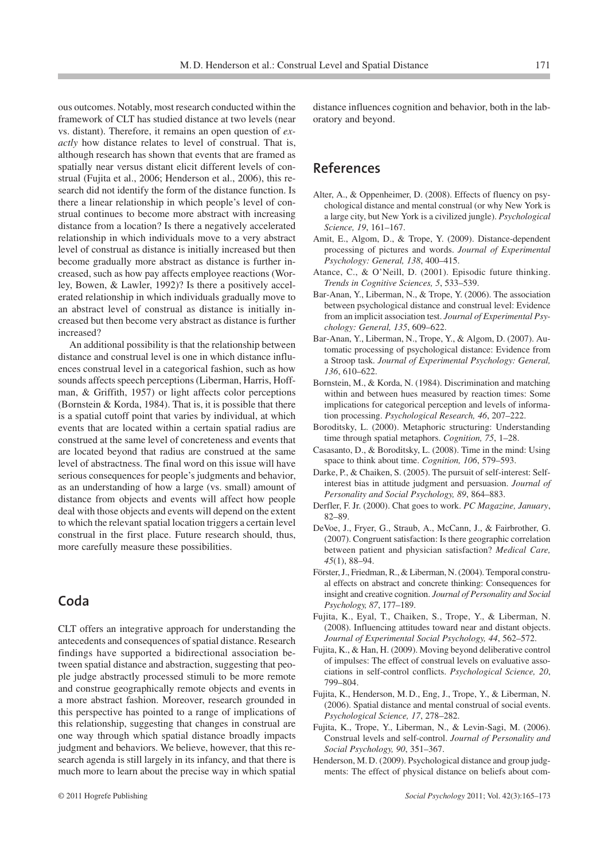ous outcomes. Notably, most research conducted within the framework of CLT has studied distance at two levels (near vs. distant). Therefore, it remains an open question of *exactly* how distance relates to level of construal. That is, although research has shown that events that are framed as spatially near versus distant elicit different levels of construal (Fujita et al., 2006; Henderson et al., 2006), this research did not identify the form of the distance function. Is there a linear relationship in which people's level of construal continues to become more abstract with increasing distance from a location? Is there a negatively accelerated relationship in which individuals move to a very abstract level of construal as distance is initially increased but then become gradually more abstract as distance is further increased, such as how pay affects employee reactions (Worley, Bowen, & Lawler, 1992)? Is there a positively accelerated relationship in which individuals gradually move to an abstract level of construal as distance is initially increased but then become very abstract as distance is further increased?

An additional possibility is that the relationship between distance and construal level is one in which distance influences construal level in a categorical fashion, such as how sounds affects speech perceptions (Liberman, Harris, Hoffman, & Griffith, 1957) or light affects color perceptions (Bornstein & Korda, 1984). That is, it is possible that there is a spatial cutoff point that varies by individual, at which events that are located within a certain spatial radius are construed at the same level of concreteness and events that are located beyond that radius are construed at the same level of abstractness. The final word on this issue will have serious consequences for people's judgments and behavior, as an understanding of how a large (vs. small) amount of distance from objects and events will affect how people deal with those objects and events will depend on the extent to which the relevant spatial location triggers a certain level construal in the first place. Future research should, thus, more carefully measure these possibilities.

## **Coda**

CLT offers an integrative approach for understanding the antecedents and consequences of spatial distance. Research findings have supported a bidirectional association between spatial distance and abstraction, suggesting that people judge abstractly processed stimuli to be more remote and construe geographically remote objects and events in a more abstract fashion. Moreover, research grounded in this perspective has pointed to a range of implications of this relationship, suggesting that changes in construal are one way through which spatial distance broadly impacts judgment and behaviors. We believe, however, that this research agenda is still largely in its infancy, and that there is much more to learn about the precise way in which spatial

distance influences cognition and behavior, both in the laboratory and beyond.

### **References**

- Alter, A., & Oppenheimer, D. (2008). Effects of fluency on psychological distance and mental construal (or why New York is a large city, but New York is a civilized jungle). *Psychological Science, 19*, 161–167.
- Amit, E., Algom, D., & Trope, Y. (2009). Distance-dependent processing of pictures and words. *Journal of Experimental Psychology: General, 138*, 400–415.
- Atance, C., & O'Neill, D. (2001). Episodic future thinking. *Trends in Cognitive Sciences, 5*, 533–539.
- Bar-Anan, Y., Liberman, N., & Trope, Y. (2006). The association between psychological distance and construal level: Evidence from an implicit association test. *Journal of Experimental Psychology: General, 135*, 609–622.
- Bar-Anan, Y., Liberman, N., Trope, Y., & Algom, D. (2007). Automatic processing of psychological distance: Evidence from a Stroop task. *Journal of Experimental Psychology: General, 136*, 610–622.
- Bornstein, M., & Korda, N. (1984). Discrimination and matching within and between hues measured by reaction times: Some implications for categorical perception and levels of information processing. *Psychological Research, 46*, 207–222.
- Boroditsky, L. (2000). Metaphoric structuring: Understanding time through spatial metaphors. *Cognition, 75*, 1–28.
- Casasanto, D., & Boroditsky, L. (2008). Time in the mind: Using space to think about time. *Cognition, 106*, 579–593.
- Darke, P., & Chaiken, S. (2005). The pursuit of self-interest: Selfinterest bias in attitude judgment and persuasion. *Journal of Personality and Social Psychology, 89*, 864–883.
- Derfler, F. Jr. (2000). Chat goes to work. *PC Magazine, January*, 82–89.
- DeVoe, J., Fryer, G., Straub, A., McCann, J., & Fairbrother, G. (2007). Congruent satisfaction: Is there geographic correlation between patient and physician satisfaction? *Medical Care, 45*(1), 88–94.
- Förster, J., Friedman, R., & Liberman, N. (2004). Temporal construal effects on abstract and concrete thinking: Consequences for insight and creative cognition. *Journal of Personality and Social Psychology, 87*, 177–189.
- Fujita, K., Eyal, T., Chaiken, S., Trope, Y., & Liberman, N. (2008). Influencing attitudes toward near and distant objects. *Journal of Experimental Social Psychology, 44*, 562–572.
- Fujita, K., & Han, H. (2009). Moving beyond deliberative control of impulses: The effect of construal levels on evaluative associations in self-control conflicts. *Psychological Science, 20*, 799–804.
- Fujita, K., Henderson, M. D., Eng, J., Trope, Y., & Liberman, N. (2006). Spatial distance and mental construal of social events. *Psychological Science, 17*, 278–282.
- Fujita, K., Trope, Y., Liberman, N., & Levin-Sagi, M. (2006). Construal levels and self-control. *Journal of Personality and Social Psychology, 90*, 351–367.
- Henderson, M. D. (2009). Psychological distance and group judgments: The effect of physical distance on beliefs about com-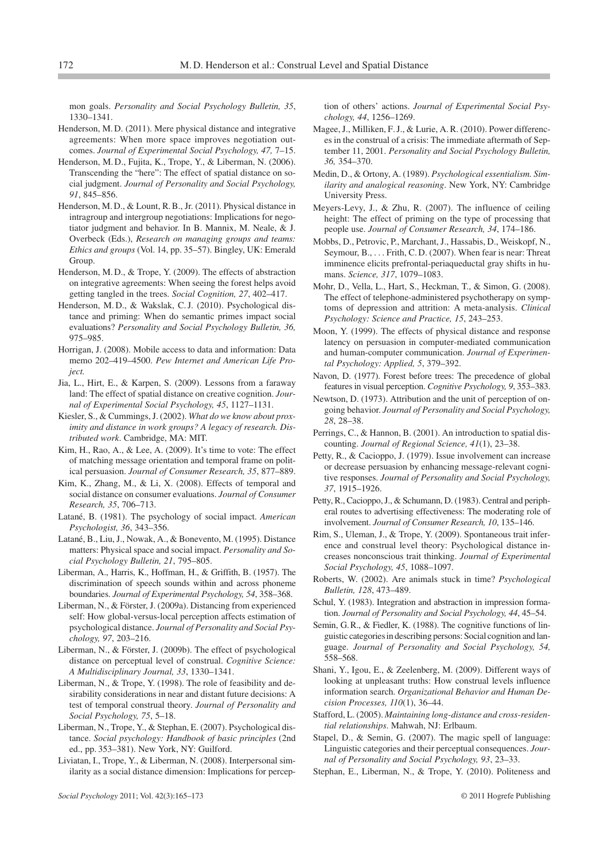mon goals. *Personality and Social Psychology Bulletin, 35*, 1330–1341.

- Henderson, M. D. (2011). Mere physical distance and integrative agreements: When more space improves negotiation outcomes. *Journal of Experimental Social Psychology, 47,* 7–15.
- Henderson, M. D., Fujita, K., Trope, Y., & Liberman, N. (2006). Transcending the "here": The effect of spatial distance on social judgment. *Journal of Personality and Social Psychology, 91*, 845–856.
- Henderson, M. D., & Lount, R. B., Jr. (2011). Physical distance in intragroup and intergroup negotiations: Implications for negotiator judgment and behavior. In B. Mannix, M. Neale, & J. Overbeck (Eds.), *Research on managing groups and teams: Ethics and groups* (Vol. 14, pp. 35–57). Bingley, UK: Emerald Group.
- Henderson, M. D., & Trope, Y. (2009). The effects of abstraction on integrative agreements: When seeing the forest helps avoid getting tangled in the trees. *Social Cognition, 27*, 402–417.
- Henderson, M. D., & Wakslak, C. J. (2010). Psychological distance and priming: When do semantic primes impact social evaluations? *Personality and Social Psychology Bulletin, 36,* 975–985.
- Horrigan, J. (2008). Mobile access to data and information: Data memo 202–419–4500. *Pew Internet and American Life Project.*
- Jia, L., Hirt, E., & Karpen, S. (2009). Lessons from a faraway land: The effect of spatial distance on creative cognition. *Journal of Experimental Social Psychology, 45*, 1127–1131.
- Kiesler, S., & Cummings, J. (2002). *What do we know about proximity and distance in work groups? A legacy of research. Distributed work*. Cambridge, MA: MIT.
- Kim, H., Rao, A., & Lee, A. (2009). It's time to vote: The effect of matching message orientation and temporal frame on political persuasion. *Journal of Consumer Research, 35*, 877–889.
- Kim, K., Zhang, M., & Li, X. (2008). Effects of temporal and social distance on consumer evaluations. *Journal of Consumer Research, 35*, 706–713.
- Latané, B. (1981). The psychology of social impact. *American Psychologist, 36*, 343–356.
- Latané, B., Liu, J., Nowak, A., & Bonevento, M. (1995). Distance matters: Physical space and social impact. *Personality and Social Psychology Bulletin, 21*, 795–805.
- Liberman, A., Harris, K., Hoffman, H., & Griffith, B. (1957). The discrimination of speech sounds within and across phoneme boundaries. *Journal of Experimental Psychology, 54*, 358–368.
- Liberman, N., & Förster, J. (2009a). Distancing from experienced self: How global-versus-local perception affects estimation of psychological distance. *Journal of Personality and Social Psychology, 97*, 203–216.
- Liberman, N., & Förster, J. (2009b). The effect of psychological distance on perceptual level of construal. *Cognitive Science: A Multidisciplinary Journal, 33*, 1330–1341.
- Liberman, N., & Trope, Y. (1998). The role of feasibility and desirability considerations in near and distant future decisions: A test of temporal construal theory. *Journal of Personality and Social Psychology, 75*, 5–18.
- Liberman, N., Trope, Y., & Stephan, E. (2007). Psychological distance. *Social psychology: Handbook of basic principles* (2nd ed., pp. 353–381). New York, NY: Guilford.
- Liviatan, I., Trope, Y., & Liberman, N. (2008). Interpersonal similarity as a social distance dimension: Implications for percep-

tion of others' actions. *Journal of Experimental Social Psychology, 44*, 1256–1269.

- Magee, J., Milliken, F. J., & Lurie, A. R. (2010). Power differences in the construal of a crisis: The immediate aftermath of September 11, 2001. *Personality and Social Psychology Bulletin, 36,* 354–370.
- Medin, D., & Ortony, A. (1989). *Psychological essentialism. Similarity and analogical reasoning*. New York, NY: Cambridge University Press.
- Meyers-Levy, J., & Zhu, R. (2007). The influence of ceiling height: The effect of priming on the type of processing that people use. *Journal of Consumer Research, 34*, 174–186.
- Mobbs, D., Petrovic, P., Marchant, J., Hassabis, D., Weiskopf, N., Seymour, B., . . . Frith, C. D. (2007). When fear is near: Threat imminence elicits prefrontal-periaqueductal gray shifts in humans. *Science, 317*, 1079–1083.
- Mohr, D., Vella, L., Hart, S., Heckman, T., & Simon, G. (2008). The effect of telephone-administered psychotherapy on symptoms of depression and attrition: A meta-analysis. *Clinical Psychology: Science and Practice, 15*, 243–253.
- Moon, Y. (1999). The effects of physical distance and response latency on persuasion in computer-mediated communication and human-computer communication. *Journal of Experimental Psychology: Applied, 5*, 379–392.
- Navon, D. (1977). Forest before trees: The precedence of global features in visual perception. *Cognitive Psychology, 9*, 353–383.
- Newtson, D. (1973). Attribution and the unit of perception of ongoing behavior. *Journal of Personality and Social Psychology, 28*, 28–38.
- Perrings, C., & Hannon, B. (2001). An introduction to spatial discounting. *Journal of Regional Science, 41*(1), 23–38.
- Petty, R., & Cacioppo, J. (1979). Issue involvement can increase or decrease persuasion by enhancing message-relevant cognitive responses. *Journal of Personality and Social Psychology, 37*, 1915–1926.
- Petty, R., Cacioppo, J., & Schumann, D. (1983). Central and peripheral routes to advertising effectiveness: The moderating role of involvement. *Journal of Consumer Research, 10*, 135–146.
- Rim, S., Uleman, J., & Trope, Y. (2009). Spontaneous trait inference and construal level theory: Psychological distance increases nonconscious trait thinking. *Journal of Experimental Social Psychology, 45*, 1088–1097.
- Roberts, W. (2002). Are animals stuck in time? *Psychological Bulletin, 128*, 473–489.
- Schul, Y. (1983). Integration and abstraction in impression formation. *Journal of Personality and Social Psychology, 44*, 45–54.
- Semin, G. R., & Fiedler, K. (1988). The cognitive functions of linguistic categoriesin describing persons: Social cognition and language. *Journal of Personality and Social Psychology, 54,* 558–568.
- Shani, Y., Igou, E., & Zeelenberg, M. (2009). Different ways of looking at unpleasant truths: How construal levels influence information search. *Organizational Behavior and Human Decision Processes, 110*(1), 36–44.
- Stafford, L. (2005). *Maintaining long-distance and cross-residential relationships*. Mahwah, NJ: Erlbaum.
- Stapel, D., & Semin, G. (2007). The magic spell of language: Linguistic categories and their perceptual consequences. *Journal of Personality and Social Psychology, 93*, 23–33.
- Stephan, E., Liberman, N., & Trope, Y. (2010). Politeness and